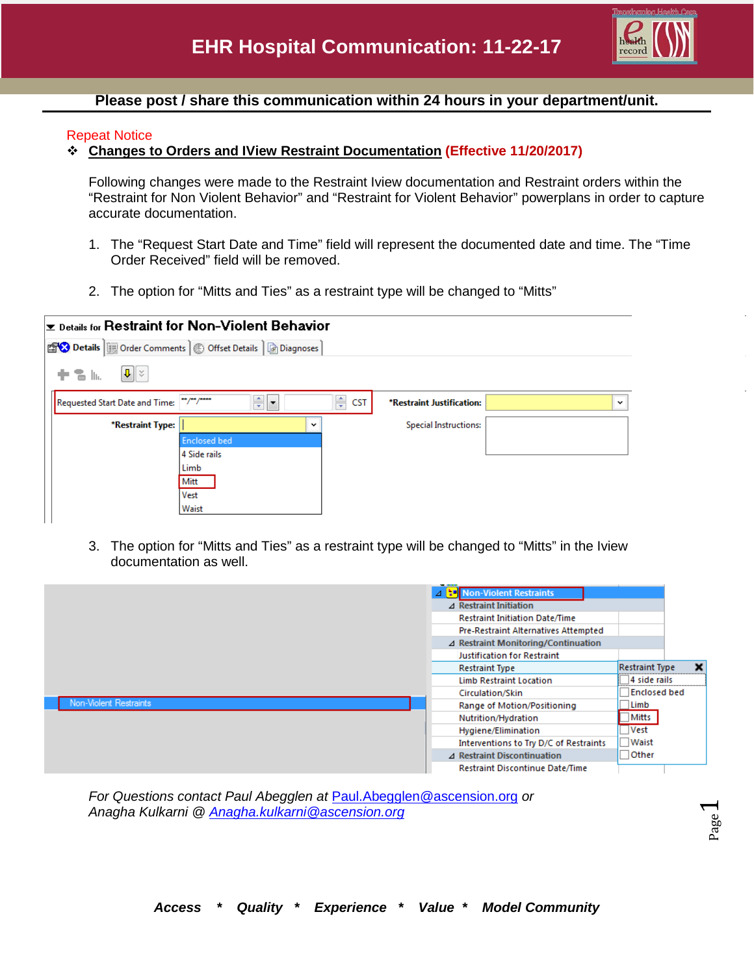

## **Please post / share this communication within 24 hours in your department/unit.**

## Repeat Notice

## **Changes to Orders and IView Restraint Documentation (Effective 11/20/2017)**

Following changes were made to the Restraint Iview documentation and Restraint orders within the "Restraint for Non Violent Behavior" and "Restraint for Violent Behavior" powerplans in order to capture accurate documentation.

- 1. The "Request Start Date and Time" field will represent the documented date and time. The "Time Order Received" field will be removed.
- 2. The option for "Mitts and Ties" as a restraint type will be changed to "Mitts"

| $\checkmark$ |
|--------------|
|              |
|              |
|              |
|              |
|              |
|              |
|              |
|              |

3. The option for "Mitts and Ties" as a restraint type will be changed to "Mitts" in the Iview documentation as well.



*For Questions contact Paul Abegglen at* [Paul.Abegglen@ascension.org](mailto:Paul.Abegglen@ascension.org) *or Anagha Kulkarni @ [Anagha.kulkarni@ascension.org](mailto:Anagha.kulkarni@ascension.org)*